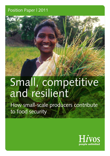## Position Paper | 2011

# Small, competitive and resilient

How small-scale producers contribute to food security

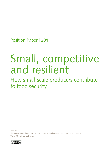Position Paper | 2011

# Small, competitive and resilient

How small-scale producers contribute to food security

© Hivos

This work is licensed under the Creative Commons Attribution-Non-commercial-No Derivative Works 3.0 Netherlands License.

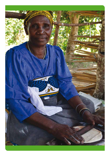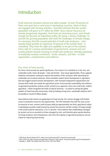### Introduction

Food insecurity threatens almost one billion people. At least 70 percent of these very poor live in rural areas in developing countries. Most of them are engaged with farming activities.<sup>1</sup> Scientists estimate that the world's population will grow to 9.1 billion by 2050. Since natural resources are already dangerously degraded, fossil fuels are becoming scarce, and climate change has become an impending reality, this poses a serious challenge. To nourish the growing population and meet the challenges of climate change, it is necessary that the unused potential of small-scale producers – who already today provide an impressive 70 percent of the world's food – is unleashed. They have the right and capability to be part of the solution. Hivos calls for a serious reorientation of government, research and civil society policies towards focusing on small-scale producers, thereby proposing to drastically increase investment – funds, research, and time – in their organisation, competiveness and resilience.

#### Our vision of food security

For Hivos, food security has special significance. Our mission is to contribute to a fair, free, and sustainable world, where all people – male and female – have equal opportunities. Hivos supports initiatives and partners working to improve the position of the rural poor while advocating for sustainable use of natural resources. Hivos stimulates market-driven development in agriculture that also triggers broad economic development, with increased employment opportunities and incomes both inside and outside the agricultural sector. Environmental sustainability and resilience of agricultural production systems remain central to our approach. Hivos sees small-scale, resilient agriculture – which recognizes the limits of natural resources – as critical to solving the global problem of food insecurity and poverty. Only by looking at long-term, sustainable solutions will it be possible to nourish 9 billion people.

Hivos believes that women are gatekeepers of food security. Yet, women struggle with limited access to productive resources and opportunities. The FAO estimates that with the same access to resources as men, women could increase yields by approximately one third; agricultural output in developing countries could increase by around four percent; and the number of hungry people in the world could be reduced by 12 to 17 percent.2 Hivos believes that smallholdings managed by women can be as successful as those managed by men, and therefore gives special attention to female producers and entrepreneurs, who form the majority of agricultural producers and are critical for improving food security.

<sup>1</sup> IFAD Rural Poverty Report 2011, http://www.ifad.org/rpr2011/report/e/overview.pdf.

<sup>2</sup> FAO, 2010.The state of food and agriculture.Women in Agriculture: Closing the gender gap for development.

<sup>&</sup>lt;sup>3</sup> Murphy, S. 2008. The Global Food Price Crisis. IATP Fact Sheet.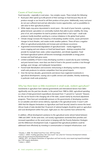#### Causes of food insecurity

Food insecurity – especially in rural areas – has complex causes. These include the following:

- Rural poor often spend up to 80 percent of their earnings on food because they do not produce enough or are forced to sell their produce at low prices. Additionally, many rural poor do not own sufficient land and lack alternative income opportunities, such as possibilities to add value to their agricultural produce.
- While staple crop prices skyrocketed in recent years the result of poor harvests, a growing global demand, speculation on commodity markets that adds to price volatility, the rising price of oil, and competition for land to produce animal feed or fuel crops $3 - \text{small-scale}$ producers hardly benefited, pointing to a serious imbalance in the global food system.
- • Climate change increases the frequency of devastating weather events, causes permanent changes to local climates, and creates erratic weather patterns. These all have a negative effect on agricultural productivity and increase pest and disease occurrence.
- Augmented environmental degradation of agricultural lands mainly triggered by mono-cropping and over-reliance on fossil fuel-based inputs – destroys ecosystems that provide for example food, water, carbon sequestration, and climate regulation. Fossil fuel-based agricultural systems will become increasingly unsustainable as energy prices increase and fossil fuels grow scarce.
- Limited availability of food in many developing countries is caused also by poor marketing and post-harvest losses: more than one third of food in the poorest countries is lost through spoilage, poor storage, and inadequate transportation.
- Forced trade liberalisation and economic restructuring in developing countries exposes small-scale producers to extreme competition from low-priced imports.
- • Over the last two decades, governments and donors have neglected investments in agricultural development, causing cuts in public services and subsidies, thereby weakening in particular small-scale production.

#### Why has there been so little investment in small-scale, resilient agriculture?

Investments in agriculture from national governments and international donors have fallen significantly over the past two decades. In the period from 1980 to 2002, agricultural spending as a share of total government expenditures decreased from 11 percent to 7 percent.<sup>4</sup> Reasons for this can be found in the changing role of the state, caused mainly by structural adjustment programs. These have put considerable pressure on the governments of developing countries to cut subsidies and direct-service delivery, especially in the agricultural sector. It wasn't until 2003 that the Maputo Declaration on Agriculture and Food Security<sup>5</sup> aimed to reverse this trend. African heads of state decided that 10 percent of national budgets should be spent on agriculture and rural development within five years. Eight years on, few countries have achieved this.

In addition, official development assistance to the agricultural sector almost halved between 1980 and 2005.<sup>6</sup> At the same time, civil society organisations reoriented their priorities and increased expenditure on the social sectors in keeping with the Poverty Reduction Strategies and the Millennium Development Goals. It appeared that agricultural problems could be addressed more effectively by investing in communication or transport infrastructure; rural

<sup>3</sup> Murphy, S. 2008. The Global Food Price Crisis. IATP Fact Sheet.

<sup>4</sup> Cabral, L. (2007). Funding agriculture: Not 'how much?' but 'what for? Overseas Development Institute. www.odi.org.uk/resources/download/530.pdf.

<sup>5</sup> NEPAD, 2011. AU Maputo Declaration on Agriculture and food security. www.nepad.org/nepad/knowledge/ doc/1787/maputo-declaration.

<sup>6</sup> Cabral, L. (2007).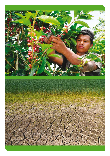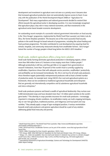development and investment in agriculture were not seen as a priority once it became clear that increased agricultural production does not automatically improve access to food. It was only with the publication of the World Development Report 2008 on "Agriculture for Development" that many organisations and national governments decided to reorient their efforts towards the agricultural sector in developing countries. It is now increasingly recognised that agriculture plays a key role in many national economies, and that investments in the agricultural sector boost broader economic development.

An outstanding recent example of a successful national government intervention on food security is the 'Zero Hunger' programme, implemented by World Food Prize Laureate Luiz Inácio Lula da Silva, the former Brazilian president. This became one of the most successful food security policies in the world through its broad network of programmes, including the school feeding and food purchase programmes. The latter contributed to rural development by acquiring food for schools, hospitals, and community restaurants directly from smallholder farmers. 'Zero hunger' halved the number of hungry people in Brazil long before the MDG's 2015 deadline.<sup>7</sup>

#### Small-scale, resilient agriculture offers a long-term solution

Small-scale family farming dominates agricultural production in developing regions, where more than 500 million farms of 2 hectares or less employ more than 2 billion people.<sup>8</sup> Although productivity is still low, and they get little or no support from governments or research institutions, more than 70 percent of the world's food is currently supplied by smallholders. Experience shows that with adequate service provision, smallholders' productivity and profitability can be increased tremendously. Yet, this is not true for all small-scale producers. Hivos therefore targets (potentially) entrepreneurial producers with at least a limited number of productive assets, for example land. Using OECD's five rural and agricultural systems as a framework, these can be considered a) traditional agricultural households and enterprises that are generally not internationally competitive and b) subsistence agricultural households and micro-enterprises.<sup>9</sup>

Small-scale producers preserve and breed a wealth of agricultural biodiversity: they nurture over 5,000 domesticated crops and have donated more than 1.9 million plant varieties to the world's gene banks.10 This diversity in crops provides insurance for small-scale producers – increasingly important in changing climatic conditions. As smallholders mainly use multi-cropping techniques, rely on rain-fed agriculture, traditional practices, and indigenous and local plant and crop varieties,<sup>11</sup> they already apply a range of agro-ecological practices. A serious reorientation towards small-scale producers and greener agriculture should be a part of any solution addressing global food insecurity and poverty.

<sup>7</sup> World Food Price (2011). The World Food Prize Laureates. http://www.worldfoodprize.org/index. cfm?nodeID=33367&audienceID=1

<sup>8</sup> IFAD, 2010.Food Prices: Smallholder Farmers can be part of the solution. www.ifad.org/operations/food/ farmer.htm.

<sup>9</sup> OECD. 2006. Promoting Pro-Poor Growth: agriculture. OECD, Paris.

<sup>10</sup> ETC Group. 2009. Who Will Feed Us? Questions for the Food and Climate Crises. ETC Group, Ottawa.

<sup>11</sup> Zelaya, S.A., (date not available). How do small-scale farmers in drylands may survive in a climate changed world? Some ideas. UNCCD Secretariat. http://unfccc.int/files/meetings/cop\_16/media/application/ pdf/101202\_mw\_unccd.pdf.

<sup>12</sup> International Assessment of Agricultural Knowledge, Science and Technology for Development (IAASTD). 2008. Report findings.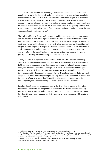A business-as-usual scenario of increasing agricultural intensification to nourish the future population – using agribusiness seeds and energy-intensive inputs such as oil and phosphates – seems untenable. The 2008 IAASTD report, $12$  the most comprehensive agriculture assessment to date, concludes that biologically diverse farming makes agriculture more adaptive and capable of eliminating hunger. It is also more resilient to climate variation and change, as it uses water more efficiently and reduces the risk of crop failure. There is also growing evidence that resilient agriculture can produce enough food. In Ethiopia and Egypt, land regenerated through organic methods is feeding thousands.<sup>13</sup>

The High Level Panel of Experts on Food Security and Nutrition's recent report "Land tenure and international investments in agriculture" reaches similar conclusions: "the huge number of smallholders in many middle and low income countries and the role they play in generating food, employment and livelihoods for more than 2 billion people should put them at the heart of agricultural development strategies".14 The panel advocates a focus on public investment in smallholder agriculture and alternative production systems that are socially inclusive and environmentally sustainable. They find sufficient evidence that most crops can be grown just as productively by smallholders as by large commercial estates.

A study by Pretty et al.<sup>15</sup> provides further evidence that sustainable, resource-conserving agriculture can meet future food needs without adverse environmental effects. Their research in 57 low-income countries showed that resource-conserving agriculture increased average crop yields by almost 80 percent; all crops gained in water-use efficiency, with the largest improvement in rain-fed crops. The potential carbon sequestered was so high that it offers income opportunities through carbon trading schemes. The authors conclude that widespread adoption of resource-conserving techniques and crop innovation can contribute to productivity. Institutional reforms at all levels should aim at improving access to resource-conserving technologies to guarantee food security and income growth for small producers.

Based on these findings and on our experience in the field, Hivos advocates for innovative investment in small-scale, resilient production systems that use natural resources efficiently, increase soil fertility, maintain and improve biodiversity, and renounce energy-intensive inputs. Investment in small-scale producers and their systems offers long-term, sustainable solutions to food insecurity!

<sup>&</sup>lt;sup>13</sup> English, A., Powered by Nature. In 'Food Security News Insert'. Financial Times, 2010.

<sup>&</sup>lt;sup>14</sup> The High Level Panel of Experts on Food Security and Nutrition (2011). Land tenure and international investments in agriculture. http://www.fao.org/fileadmin/user\_upload/hlpe/hlpe\_documents/HLPE-Land-tenure-andinternational-investments-in-agriculture-2011.pdf.

<sup>&</sup>lt;sup>15</sup> Pretty, J. et al. 2006. Resource-Conserving Agriculture Increases Yields in Developing Countries. Environmental Science & Technology, 40(4) pp. 1114–1119.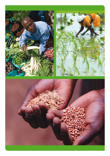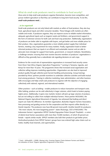#### What do small-scale producers need to contribute to food security?

Hivos aims to help small-scale producers organise themselves, become more competitive, and pursue resilient agriculture so that they can contribute to long-term food security. To do this, **small-scale producers need…**

#### **...to be organised!**

Small-scale producers are not only linked with markets as sellers of food produce, they also buy food, agricultural inputs and other consumer durables. These linkages with markets are often volatile and erratic. If producers organise, they can improve access to reliable market information, adequate agricultural inputs such as (organic) seeds and fertilizers, and government support in the form of extension services for both cash and food crop production. Additionally, organisations of producers are better able to negotiate with buyers, and get better and more reliable prices for their produce. Also, organisations guarantee a more reliable product supply than individual farmers, meeting a key requirement for many markets. Finally, organisation leads to betterinformed producers that use inputs in an efficient and sustainable manner and are able to advocate more strongly for support from banks, government, or research institutes. Nonetheless, a challenge remains: ensuring that more women become members of producers' organisations is difficult as they generally have a subordinate role regarding decisions on cash crops.

Evidence for the crucial role of representative organisations in increased food security comes from Hivos' East Africa Organic Agriculture Programme,<sup>16</sup> running in Tanzania, Uganda, and Kenya for more than 10 years. The programme shows that increased social organisation and collective selling improves marketing opportunities. Organisation can also lead to improved product quality through collective post-harvest handling and processing. Group trainings provided by Hivos' partners provide incentives to undertake collective activities and build mutual trust among producers. Training in collective marketing, basic administration, and other business skills encourages and helps small-scale producers to organise with the objective of engaging collectively with national, regional, and international markets.

Other practices – such as bulking – enable producers to reduce transaction and transport costs. After bulking, produce can be sold collectively in larger volumes, which leads to brokers paying higher prices. Additionally, it opens new markets: brokers will pick up large volumes of produce, but are not willing to collect from multiple individual farmers. Hivos partner NOGAMU, the National Organic Agricultural Movement of Uganda, has witnessed that bulking and direct export can make the difference. Its member organisation, Bufumbo Organic Farmers Association, hires processing and grading services for the cooperative and then exports coffee directly to a Danish importer. The producers now have 80 percent more profit. Another benefit for producers: "the more volume, the more bargaining power!" states Muwanga, CEO of NOGAMU. The Indonesian farmers' organisation SPPQT (Serikat Peguyuban Petani Qoryah Thoyibah) – a union of district-level farmer associations with more than 15,000 members, of which 30 percent are female – reports similar results. SPPQT members also bulk their products to get better prices. Horticultural products from SPPQT farmers' groups have now entered high-value chains such as hotels, healthy food channels, and supermarkets.

16 Guijt, J. &Woodhill, J. (2008). Missing Links: Growing Organic Chains between Farmers and Market. An evaluation of Hivos' Organic Agriculture Programme in East Africa.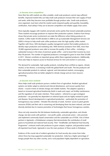#### **...to become more competitive!**

Since their ties with markets are often unstable, small-scale producers cannot reap sufficient benefits. Improved market links can help small-scale producers increase their own supply of food and seeds, while they become more profitable through produce sales. Small-scale producers, once organised, must learn what the market wants (required quality and quantity, traceability, certification, food safety) if they are to become competitive and reliable supply chain actors.

Hivos typically engages with markets and private-sector parties that reward sustainable practices. These markets encourage producers to improve their production systems. Evidence from Kenya shows that private sector involvement can make the difference when linking producers to markets. Coffee trader ECOM decided in 2006 to set up Sustainable Management Services Ltd. (SMS) in Kenya to help small-scale coffee producers enter the high-quality coffee market. Together with Hivos, SMS developed a quality management system that enables producers to identify major production and marketing risks. With technical assistance from SMS, more than 10,000 organised producers were able to increase the quality of their coffee – including a substantial increase in the share of premium-grade coffee – and to boost their incomes by more than 50 percent. The number of organised producers is envisaged to grow to more than 25,000 in 2011. Women constitute an important group within these organised producers. Additionally, Hivos also helps to improve access to financial services for men and women in rural areas.

The demand for sustainable, high-quality products, including those certified as organic, climateneutral, or bio-diverse, is increasing in both the global North and South. This lets producers sell their sustainable products to national, regional, and international markets, encouraging agricultural practices that are better adapted to climate change and are more resourceconserving.

#### **...to become more resilient!**

Hivos helps small-scale producers pursue a resilient form of agriculture. Resilient agricultural systems can better adapt to external and internal disturbances, and recover quickly from shocks – crucial in times of climate change and volatile markets. This adaptive capacity is based on increased agricultural biodiversity (both in seeds and crops); soil fertility maintenance; and the regulation of soil water retention. These systems – referred to as agro-ecological production – are generally less dependent on external inputs and are highly resistant to pests and diseases. Recent developments in agricultural production – particularly the promotion of homogeneous crop varieties – threaten this diversity of seeds. Farmers' access to plant genetic resources (PGRs) and their role in conserving and developing these has been reduced, and seed diversity declined due to massive promotion of technologies that favour homogenous varieties.

Hivos not only researches the link between biodiversity, sustainable agriculture, and climate change, but also works with partners – non-profit, public, and private actors – who promote and implement community-based conservation and the sustainable use of PGRs. One of these partners is Agriseeds, a Zimbabwean company that demonstrates the contribution of small grains to household and national food security. Their "Smallholder and National Food Security Programme" contracts small-scale producers to grow cowpea, sorghum, and groundnut seeds – all important local foods. Agriseeds is now the main producer of these seeds in Zimbabwe.

Evidence of the crucial role of resilient agriculture for food security also comes from India, where Hivos has long supported sustainable rice production. India has a higher percentage of hungry people than any other country, and a rural population highly dependent on agriculture.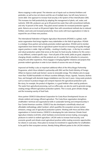Mono-cropping is wide-spread. The intensive use of inputs such as chemical fertilizers and pesticides, as well as low net returns and the use of multiple loans, has left many farmers in severe debt. One approach to increase food security is the System of Rice Intensification (SRI). This increases rice field productivity by adapting the management of plants, soil, water, and nutrients. With SRI, producers use up to 50 percent less water than with conventional methods, and only 10 percent of the seeds. They plant several varieties for increased protection against pests. Returns are as much as 50 percent higher than with conventional methods due to reduced fertilizer, seed costs and increased productivity. Hivos works with local organisations in India to expand the use of these new practices.

The International Federation of Organic Agriculture Movements (IFOAM) is a global, multisector organisation that brings together many stakeholders in the field of agriculture. IFOAM is a strategic Hivos partner and actively promotes resilient agriculture. IFOAM and its member organisations have shown that an agricultural system focused on increasing soil quality through organic practices is viable. High soil fertility – resulting in healthy crops – is the key to a resilient and robust production system that serves as the basis for food security. Evidence for this comes – in very different, context-specific ways – from all parts of the world: yields are good, adapted to changing climatic conditions, and the products are of a quality that is attractive to consumers. Using this and other experience, Hivos engages in bringing together initiatives and projects that promote resilient agriculture in order to turn islands of success into seas of change.

Improved soil fertility is also an important additional effect of the Africa Biogas Partnership Programme, which Hivos initiated in partnership with SNV and the Dutch Ministry of Foreign Affairs to improve small-scale farmers' access to renewable energy. This initiative aims to equip more than 70,000 households in 6 African countries (Ethiopia, Kenya, Uganda, Tanzania, Burkina Faso, and Senegal) with domestic biogas installations over the next 4 years. Using waste products such as manure to produce biogas and compost improves the agricultural production cycle. Bio-slurry, for example, the product of digestion, is a good fertilizer often used by producers. The waste from agricultural processing, such as coffee pulp, can also be used to generate energy, creating energy-efficient agriculture production systems. This is crucial, given climate change and the increasing scarcity of fossil fuels.

Hivos partner CEDECO (Educational Corporation for Costa Rican Development) focuses on climate-resilient and energy-efficient agriculture. The Costa Rican organisation strengthens smallholders' technical and organisational skills in sustainable farming and entrepreneurship in four Central American countries. CEDECO has also developed a scientifically robust and affordable methodology called Cambio2, which quantifies the ecosystem services (carbon emissions, energy use) of agricultural production systems. Working with Hivos and three other organisations in Central America, CEDECO is developing the Latin American Climate Smart Agriculture Initiative (LACSAI), which facilitates environmental services trading, encouraging producers to switch to resilient agriculture. LACSAI seeks to increase food security, rural economic growth and climate-smart agricultural practices while creating economic opportunities for citizens in rural areas. Hivos plans to increase its investment in opportunities for smallholders to be paid for their ecosystem services, thereby linking different parties to the LACSAI initiative.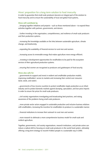#### Hivos' proposition for a long-term solution to food insecurity

In order to guarantee that small-scale producers become an integral part of the solution to food insecurity and to ensure the sustainability of local and global food systems,

#### **Hivos will contribute by**

...bringing together initiatives and projects – such as those mentioned above – to expand these activities together with partners, governments, and donors.

...further investing in the organisation, competitiveness, and resilience of small-scale producers and their production systems.

...increasing the knowledge available on the links between sustainable agriculture, climate change, and biodiversity.

...expanding the availability of financial services to rural men and women.

...increasing access to renewable energy that makes agriculture more energy-efficient.

…investing in development opportunities for smallholders to be paid for the ecosystem services of their agricultural production systems.

...ensuring that women are recognized as producers and gatekeepers of food security.

#### **Hivos also calls for**

...governments to support and invest in resilient and smallholder production models, improving smallholders' access to markets and increasing their control over resources (land, seeds, and water).

...governments of low-income countries to protect smallholder staple production as an infant industry and to protect domestic markets against dumping, speculation, and low-price imports in order to ensure fair prices for small-scale producers.

...civil society organisations investigating and broadcasting best practices, and raising awareness of the problems facing small-scale producers.

...more private sector actors engaged in sustainable production and inclusive business relations with smallholders, increasing the incentive for smallholders to produce in a sustainable manner.

...financial institutions to increase their outreach to rural men and women.

...more research to delineate a more comprehensive business model for small-scale and resilient agriculture.

Together, governments, civil society organisations, research institutions, and private actors can induce a radical shift to focusing on small-scale producers in the world food system, ultimately offering a long-term strategy to nourish 9 billion people in a sustainable way in 2050.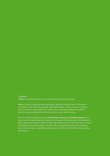#### Colophon

**Authors:** Lena Katzmarski (Hivos), with inputs from Tim Woods (Green Ink)

**Hivos** is a Dutch non-governmental organisation, guided by humanist values, that wants to contribute to a free, fair and sustainable world where citizens, women and men, have equal access to resources, opportunities and markets and can participate actively and equally in decision-making processes that determine their lives, society and their future.

The Hivos-IIED Knowledge Programme **Small Producer Agency in a Globalised Market** has set out to map, elicit and integrate knowledge on the dilemmas confronting small-scale producers in global, regional and national markets. It works with different actors to bring new voices, concepts and insights into the global debate. It thereby seeks to support the development community, policy makers, producer organizations and businesses in their search for better informed policies and practices.